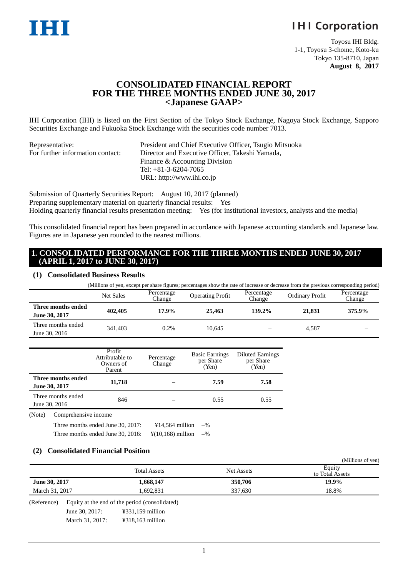# **IHI Corporation**

Toyosu IHI Bldg. 1-1, Toyosu 3-chome, Koto-ku Tokyo 135-8710, Japan **August 8, 2017**

# **CONSOLIDATED FINANCIAL REPORT FOR THE THREE MONTHS ENDED JUNE 30, 2017 <Japanese GAAP>**

IHI Corporation (IHI) is listed on the First Section of the Tokyo Stock Exchange, Nagoya Stock Exchange, Sapporo Securities Exchange and Fukuoka Stock Exchange with the securities code number 7013.

| Representative:                  | President and Chief Executive Officer, Tsugio Mitsuoka   |
|----------------------------------|----------------------------------------------------------|
| For further information contact: | Director and Executive Officer, Takeshi Yamada,          |
|                                  | Finance & Accounting Division                            |
|                                  | Tel: $+81-3-6204-7065$                                   |
|                                  | URL: $\frac{http://www.ibi.co.jp}{http://www.ibi.co.jp}$ |

Submission of Quarterly Securities Report: August 10, 2017 (planned) Preparing supplementary material on quarterly financial results: Yes Holding quarterly financial results presentation meeting: Yes (for institutional investors, analysts and the media)

This consolidated financial report has been prepared in accordance with Japanese accounting standards and Japanese law. Figures are in Japanese yen rounded to the nearest millions.

### **1. CONSOLIDATED PERFORMANCE FOR THE THREE MONTHS ENDED JUNE 30, 2017 (APRIL 1, 2017 to JUNE 30, 2017)**

#### **(1) Consolidated Business Results**

| (Millions of yen, except per share figures; percentages show the rate of increase or decrease from the previous corresponding period) |           |                      |                         |                      |                        |                      |  |  |  |  |
|---------------------------------------------------------------------------------------------------------------------------------------|-----------|----------------------|-------------------------|----------------------|------------------------|----------------------|--|--|--|--|
|                                                                                                                                       | Net Sales | Percentage<br>Change | <b>Operating Profit</b> | Percentage<br>Change | <b>Ordinary Profit</b> | Percentage<br>Change |  |  |  |  |
| Three months ended<br>June 30, 2017                                                                                                   | 402,405   | $17.9\%$             | 25.463                  | 139.2%               | 21,831                 | 375.9%               |  |  |  |  |
| Three months ended<br>June 30, 2016                                                                                                   | 341,403   | $0.2\%$              | 10.645                  |                      | 4.587                  |                      |  |  |  |  |

|                                     | Profit<br>Attributable to<br>Owners of<br>Parent | <b>Basic Earnings</b><br>Percentage<br>per Share<br>Change<br>(Yen) |      | <b>Diluted Earnings</b><br>per Share<br>(Yen) |
|-------------------------------------|--------------------------------------------------|---------------------------------------------------------------------|------|-----------------------------------------------|
| Three months ended<br>June 30, 2017 | 11,718                                           |                                                                     | 7.59 | 7.58                                          |
| Three months ended<br>June 30, 2016 | 846                                              |                                                                     | 0.55 | 0.55                                          |
| Comprehensive income<br>(Note)      |                                                  |                                                                     |      |                                               |

Three months ended June 30, 2017:  $\qquad\qquad$  ¥14,564 million –%

Three months ended June 30, 2016:  $\frac{4}{10,168}$  million –%

#### **(2) Consolidated Financial Position**

|                      |                |                                                |            | (Millions of yen)         |
|----------------------|----------------|------------------------------------------------|------------|---------------------------|
|                      |                | <b>Total Assets</b>                            | Net Assets | Equity<br>to Total Assets |
| <b>June 30, 2017</b> |                | 1,668,147                                      | 350,706    | 19.9%                     |
| March 31, 2017       |                | 1,692,831                                      | 337,630    | 18.8%                     |
| (Reference)          |                | Equity at the end of the period (consolidated) |            |                           |
|                      | June 30, 2017: | $\text{\textsterling}331,159$ million          |            |                           |

March 31, 2017: ¥318,163 million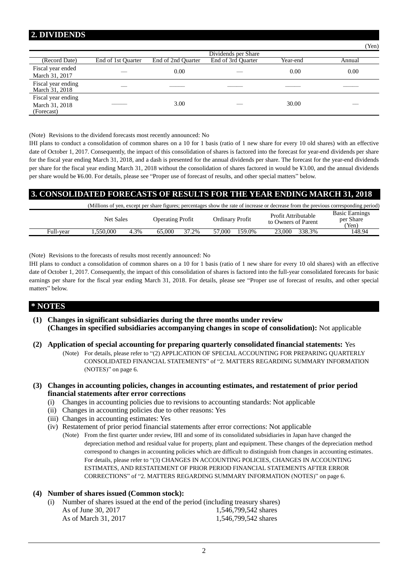# **2. DIVIDENDS**

|                                                    |                    |                    |                     |          | $1$ CII) |
|----------------------------------------------------|--------------------|--------------------|---------------------|----------|----------|
|                                                    |                    |                    | Dividends per Share |          |          |
| (Record Date)                                      | End of 1st Quarter | End of 2nd Quarter | End of 3rd Quarter  | Year-end | Annual   |
| Fiscal year ended<br>March 31, 2017                |                    | 0.00               |                     | 0.00     | 0.00     |
| Fiscal year ending<br>March 31, 2018               |                    |                    |                     |          |          |
| Fiscal year ending<br>March 31, 2018<br>(Forecast) |                    | 3.00               |                     | 30.00    |          |

 $(T<sub>T</sub>)$ 

(Note) Revisions to the dividend forecasts most recently announced: No

IHI plans to conduct a consolidation of common shares on a 10 for 1 basis (ratio of 1 new share for every 10 old shares) with an effective date of October 1, 2017. Consequently, the impact of this consolidation of shares is factored into the forecast for year-end dividends per share for the fiscal year ending March 31, 2018, and a dash is presented for the annual dividends per share. The forecast for the year-end dividends per share for the fiscal year ending March 31, 2018 without the consolidation of shares factored in would be ¥3.00, and the annual dividends per share would be ¥6.00. For details, please see "Proper use of forecast of results, and other special matters" below.

# **3. CONSOLIDATED FORECASTS OF RESULTS FOR THE YEAR ENDING MARCH 31, 2018**

|           |                  |      |                         |       |                        | (Millions of yen, except per share figures; percentages show the rate of increase or decrease from the previous corresponding period) |                                             |
|-----------|------------------|------|-------------------------|-------|------------------------|---------------------------------------------------------------------------------------------------------------------------------------|---------------------------------------------|
|           | <b>Net Sales</b> |      | <b>Operating Profit</b> |       | <b>Ordinary Profit</b> | Profit Attributable<br>to Owners of Parent                                                                                            | <b>Basic Earnings</b><br>per Share<br>(Yen) |
| Full-vear | . .550.000       | 4.3% | 65.000                  | 37.2% | 159.0%<br>57.000       | 338.3%<br>23.000                                                                                                                      | 148.94                                      |

(Note) Revisions to the forecasts of results most recently announced: No

IHI plans to conduct a consolidation of common shares on a 10 for 1 basis (ratio of 1 new share for every 10 old shares) with an effective date of October 1, 2017. Consequently, the impact of this consolidation of shares is factored into the full-year consolidated forecasts for basic earnings per share for the fiscal year ending March 31, 2018. For details, please see "Proper use of forecast of results, and other special matters" below.

### **\* NOTES**

- **(1) Changes in significant subsidiaries during the three months under review (Changes in specified subsidiaries accompanying changes in scope of consolidation):** Not applicable
- **(2) Application of special accounting for preparing quarterly consolidated financial statements:** Yes
	- (Note) For details, please refer to "(2) APPLICATION OF SPECIAL ACCOUNTING FOR PREPARING QUARTERLY CONSOLIDATED FINANCIAL STATEMENTS" of "2. MATTERS REGARDING SUMMARY INFORMATION (NOTES)" on page [6.](#page-5-0)

#### **(3) Changes in accounting policies, changes in accounting estimates, and restatement of prior period financial statements after error corrections**

- (i) Changes in accounting policies due to revisions to accounting standards: Not applicable
- (ii) Changes in accounting policies due to other reasons: Yes
- (iii) Changes in accounting estimates: Yes
- (iv) Restatement of prior period financial statements after error corrections: Not applicable
	- (Note) From the first quarter under review, IHI and some of its consolidated subsidiaries in Japan have changed the depreciation method and residual value for property, plant and equipment. These changes of the depreciation method correspond to changes in accounting policies which are difficult to distinguish from changes in accounting estimates. For details, please refer to "(3) CHANGES IN ACCOUNTING POLICIES, CHANGES IN ACCOUNTING ESTIMATES, AND RESTATEMENT OF PRIOR PERIOD FINANCIAL STATEMENTS AFTER ERROR CORRECTIONS" of "2. MATTERS REGARDING SUMMARY INFORMATION (NOTES)" on page [6.](#page-5-1)

#### **(4) Number of shares issued (Common stock):**

(i) Number of shares issued at the end of the period (including treasury shares) As of June 30, 2017 1,546,799,542 shares As of March 31, 2017 1,546,799,542 shares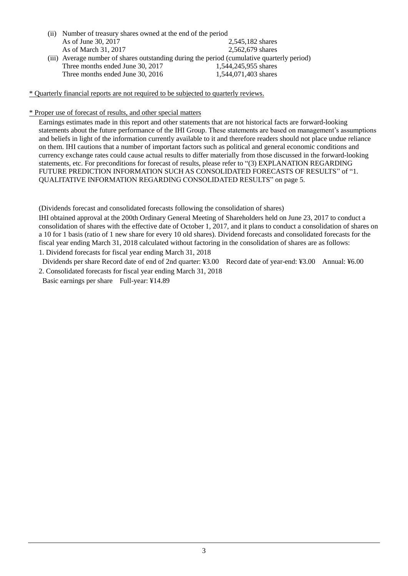(ii) Number of treasury shares owned at the end of the period As of June 30, 2017 2,545,182 shares As of March 31, 2017 2,562,679 shares (iii) Average number of shares outstanding during the period (cumulative quarterly period) Three months ended June 30, 2017 1,544,245,955 shares Three months ended June 30, 2016 1,544,071,403 shares

\* Quarterly financial reports are not required to be subjected to quarterly reviews.

#### \* Proper use of forecast of results, and other special matters

Earnings estimates made in this report and other statements that are not historical facts are forward-looking statements about the future performance of the IHI Group. These statements are based on management's assumptions and beliefs in light of the information currently available to it and therefore readers should not place undue reliance on them. IHI cautions that a number of important factors such as political and general economic conditions and currency exchange rates could cause actual results to differ materially from those discussed in the forward-looking statements, etc. For preconditions for forecast of results, please refer to "(3) EXPLANATION REGARDING FUTURE PREDICTION INFORMATION SUCH AS CONSOLIDATED FORECASTS OF RESULTS" of "1. QUALITATIVE INFORMATION REGARDING CONSOLIDATED RESULTS" on page [5.](#page-4-0)

(Dividends forecast and consolidated forecasts following the consolidation of shares)

IHI obtained approval at the 200th Ordinary General Meeting of Shareholders held on June 23, 2017 to conduct a consolidation of shares with the effective date of October 1, 2017, and it plans to conduct a consolidation of shares on a 10 for 1 basis (ratio of 1 new share for every 10 old shares). Dividend forecasts and consolidated forecasts for the fiscal year ending March 31, 2018 calculated without factoring in the consolidation of shares are as follows: 1. Dividend forecasts for fiscal year ending March 31, 2018

Dividends per share Record date of end of 2nd quarter: ¥3.00 Record date of year-end: ¥3.00 Annual: ¥6.00 2. Consolidated forecasts for fiscal year ending March 31, 2018

Basic earnings per share Full-year: ¥14.89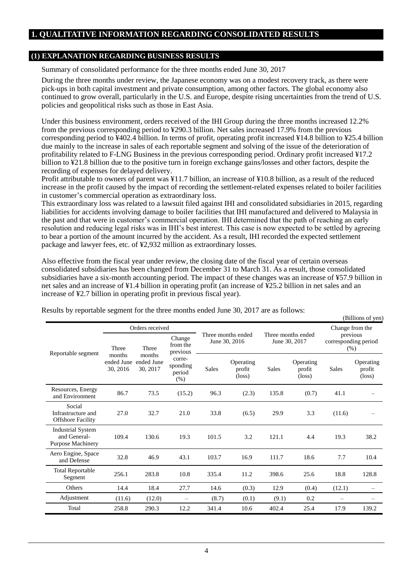# **1. QUALITATIVE INFORMATION REGARDING CONSOLIDATED RESULTS**

### **(1) EXPLANATION REGARDING BUSINESS RESULTS**

Summary of consolidated performance for the three months ended June 30, 2017

During the three months under review, the Japanese economy was on a modest recovery track, as there were pick-ups in both capital investment and private consumption, among other factors. The global economy also continued to grow overall, particularly in the U.S. and Europe, despite rising uncertainties from the trend of U.S. policies and geopolitical risks such as those in East Asia.

Under this business environment, orders received of the IHI Group during the three months increased 12.2% from the previous corresponding period to ¥290.3 billion. Net sales increased 17.9% from the previous corresponding period to ¥402.4 billion. In terms of profit, operating profit increased ¥14.8 billion to ¥25.4 billion due mainly to the increase in sales of each reportable segment and solving of the issue of the deterioration of profitability related to F-LNG Business in the previous corresponding period. Ordinary profit increased ¥17.2 billion to ¥21.8 billion due to the positive turn in foreign exchange gains/losses and other factors, despite the recording of expenses for delayed delivery.

Profit attributable to owners of parent was ¥11.7 billion, an increase of ¥10.8 billion, as a result of the reduced increase in the profit caused by the impact of recording the settlement-related expenses related to boiler facilities in customer's commercial operation as extraordinary loss.

This extraordinary loss was related to a lawsuit filed against IHI and consolidated subsidiaries in 2015, regarding liabilities for accidents involving damage to boiler facilities that IHI manufactured and delivered to Malaysia in the past and that were in customer's commercial operation. IHI determined that the path of reaching an early resolution and reducing legal risks was in IHI's best interest. This case is now expected to be settled by agreeing to bear a portion of the amount incurred by the accident. As a result, IHI recorded the expected settlement package and lawyer fees, etc. of ¥2,932 million as extraordinary losses.

Also effective from the fiscal year under review, the closing date of the fiscal year of certain overseas consolidated subsidiaries has been changed from December 31 to March 31. As a result, those consolidated subsidiaries have a six-month accounting period. The impact of these changes was an increase of ¥57.9 billion in net sales and an increase of ¥1.4 billion in operating profit (an increase of ¥25.2 billion in net sales and an increase of ¥2.7 billion in operating profit in previous fiscal year).

 $(B<sub>i</sub>$ llions of yan)

|                                                                      |                                  | Orders received                  |                                        |              |                                        |       |                                        |        | Change from the                          |  |
|----------------------------------------------------------------------|----------------------------------|----------------------------------|----------------------------------------|--------------|----------------------------------------|-------|----------------------------------------|--------|------------------------------------------|--|
| Reportable segment                                                   | Three                            | Three                            | Change<br>from the<br>previous         |              | Three months ended<br>June 30, 2016    |       | Three months ended<br>June 30, 2017    |        | previous<br>corresponding period<br>(% ) |  |
|                                                                      | months<br>ended June<br>30, 2016 | months<br>ended June<br>30, 2017 | corre-<br>sponding<br>period<br>$(\%)$ | <b>Sales</b> | Operating<br>profit<br>$(\text{loss})$ | Sales | Operating<br>profit<br>$(\text{loss})$ | Sales  | Operating<br>profit<br>$(\text{loss})$   |  |
| Resources, Energy<br>and Environment                                 | 86.7                             | 73.5                             | (15.2)                                 | 96.3         | (2.3)                                  | 135.8 | (0.7)                                  | 41.1   |                                          |  |
| Social<br>Infrastructure and<br><b>Offshore Facility</b>             | 27.0                             | 32.7                             | 21.0                                   | 33.8         | (6.5)                                  | 29.9  | 3.3                                    | (11.6) |                                          |  |
| <b>Industrial System</b><br>and General-<br><b>Purpose Machinery</b> | 109.4                            | 130.6                            | 19.3                                   | 101.5        | 3.2                                    | 121.1 | 4.4                                    | 19.3   | 38.2                                     |  |
| Aero Engine, Space<br>and Defense                                    | 32.8                             | 46.9                             | 43.1                                   | 103.7        | 16.9                                   | 111.7 | 18.6                                   | 7.7    | 10.4                                     |  |
| <b>Total Reportable</b><br>Segment                                   | 256.1                            | 283.8                            | 10.8                                   | 335.4        | 11.2                                   | 398.6 | 25.6                                   | 18.8   | 128.8                                    |  |
| Others                                                               | 14.4                             | 18.4                             | 27.7                                   | 14.6         | (0.3)                                  | 12.9  | (0.4)                                  | (12.1) |                                          |  |
| Adjustment                                                           | (11.6)                           | (12.0)                           | —                                      | (8.7)        | (0.1)                                  | (9.1) | 0.2                                    |        |                                          |  |
| Total                                                                | 258.8                            | 290.3                            | 12.2                                   | 341.4        | 10.6                                   | 402.4 | 25.4                                   | 17.9   | 139.2                                    |  |

Results by reportable segment for the three months ended June 30, 2017 are as follows: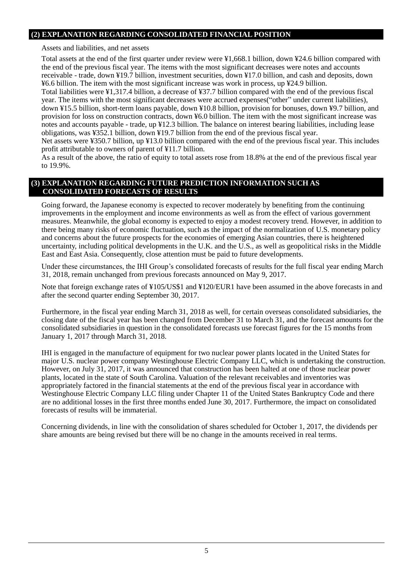# **(2) EXPLANATION REGARDING CONSOLIDATED FINANCIAL POSITION**

Assets and liabilities, and net assets

Total assets at the end of the first quarter under review were ¥1,668.1 billion, down ¥24.6 billion compared with the end of the previous fiscal year. The items with the most significant decreases were notes and accounts receivable - trade, down ¥19.7 billion, investment securities, down ¥17.0 billion, and cash and deposits, down ¥6.6 billion. The item with the most significant increase was work in process, up ¥24.9 billion.

Total liabilities were ¥1,317.4 billion, a decrease of ¥37.7 billion compared with the end of the previous fiscal year. The items with the most significant decreases were accrued expenses("other" under current liabilities), down ¥15.5 billion, short-term loans payable, down ¥10.8 billion, provision for bonuses, down ¥9.7 billion, and provision for loss on construction contracts, down ¥6.0 billion. The item with the most significant increase was notes and accounts payable - trade, up ¥12.3 billion. The balance on interest bearing liabilities, including lease obligations, was ¥352.1 billion, down ¥19.7 billion from the end of the previous fiscal year.

Net assets were ¥350.7 billion, up ¥13.0 billion compared with the end of the previous fiscal year. This includes profit attributable to owners of parent of ¥11.7 billion.

As a result of the above, the ratio of equity to total assets rose from 18.8% at the end of the previous fiscal year to 19.9%.

### <span id="page-4-0"></span>**(3) EXPLANATION REGARDING FUTURE PREDICTION INFORMATION SUCH AS CONSOLIDATED FORECASTS OF RESULTS**

Going forward, the Japanese economy is expected to recover moderately by benefiting from the continuing improvements in the employment and income environments as well as from the effect of various government measures. Meanwhile, the global economy is expected to enjoy a modest recovery trend. However, in addition to there being many risks of economic fluctuation, such as the impact of the normalization of U.S. monetary policy and concerns about the future prospects for the economies of emerging Asian countries, there is heightened uncertainty, including political developments in the U.K. and the U.S., as well as geopolitical risks in the Middle East and East Asia. Consequently, close attention must be paid to future developments.

Under these circumstances, the IHI Group's consolidated forecasts of results for the full fiscal year ending March 31, 2018, remain unchanged from previous forecasts announced on May 9, 2017.

Note that foreign exchange rates of ¥105/US\$1 and ¥120/EUR1 have been assumed in the above forecasts in and after the second quarter ending September 30, 2017.

Furthermore, in the fiscal year ending March 31, 2018 as well, for certain overseas consolidated subsidiaries, the closing date of the fiscal year has been changed from December 31 to March 31, and the forecast amounts for the consolidated subsidiaries in question in the consolidated forecasts use forecast figures for the 15 months from January 1, 2017 through March 31, 2018.

IHI is engaged in the manufacture of equipment for two nuclear power plants located in the United States for major U.S. nuclear power company Westinghouse Electric Company LLC, which is undertaking the construction. However, on July 31, 2017, it was announced that construction has been halted at one of those nuclear power plants, located in the state of South Carolina. Valuation of the relevant receivables and inventories was appropriately factored in the financial statements at the end of the previous fiscal year in accordance with Westinghouse Electric Company LLC filing under Chapter 11 of the United States Bankruptcy Code and there are no additional losses in the first three months ended June 30, 2017. Furthermore, the impact on consolidated forecasts of results will be immaterial.

Concerning dividends, in line with the consolidation of shares scheduled for October 1, 2017, the dividends per share amounts are being revised but there will be no change in the amounts received in real terms.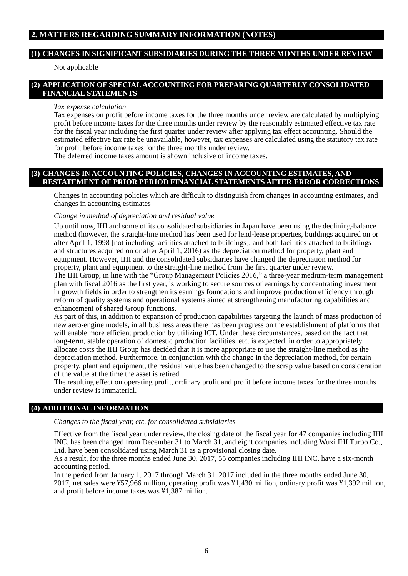# **2. MATTERS REGARDING SUMMARY INFORMATION (NOTES)**

# **(1) CHANGES IN SIGNIFICANT SUBSIDIARIES DURING THE THREE MONTHS UNDER REVIEW**

Not applicable

# <span id="page-5-0"></span>**(2) APPLICATION OF SPECIAL ACCOUNTING FOR PREPARING QUARTERLY CONSOLIDATED FINANCIAL STATEMENTS**

#### *Tax expense calculation*

Tax expenses on profit before income taxes for the three months under review are calculated by multiplying profit before income taxes for the three months under review by the reasonably estimated effective tax rate for the fiscal year including the first quarter under review after applying tax effect accounting. Should the estimated effective tax rate be unavailable, however, tax expenses are calculated using the statutory tax rate for profit before income taxes for the three months under review.

The deferred income taxes amount is shown inclusive of income taxes.

### <span id="page-5-1"></span>**(3) CHANGES IN ACCOUNTING POLICIES, CHANGES IN ACCOUNTING ESTIMATES, AND RESTATEMENT OF PRIOR PERIOD FINANCIAL STATEMENTS AFTER ERROR CORRECTIONS**

Changes in accounting policies which are difficult to distinguish from changes in accounting estimates, and changes in accounting estimates

#### *Change in method of depreciation and residual value*

Up until now, IHI and some of its consolidated subsidiaries in Japan have been using the declining-balance method (however, the straight-line method has been used for lend-lease properties, buildings acquired on or after April 1, 1998 [not including facilities attached to buildings], and both facilities attached to buildings and structures acquired on or after April 1, 2016) as the depreciation method for property, plant and equipment. However, IHI and the consolidated subsidiaries have changed the depreciation method for property, plant and equipment to the straight-line method from the first quarter under review.

The IHI Group, in line with the "Group Management Policies 2016," a three-year medium-term management plan with fiscal 2016 as the first year, is working to secure sources of earnings by concentrating investment in growth fields in order to strengthen its earnings foundations and improve production efficiency through reform of quality systems and operational systems aimed at strengthening manufacturing capabilities and enhancement of shared Group functions.

As part of this, in addition to expansion of production capabilities targeting the launch of mass production of new aero-engine models, in all business areas there has been progress on the establishment of platforms that will enable more efficient production by utilizing ICT. Under these circumstances, based on the fact that long-term, stable operation of domestic production facilities, etc. is expected, in order to appropriately allocate costs the IHI Group has decided that it is more appropriate to use the straight-line method as the depreciation method. Furthermore, in conjunction with the change in the depreciation method, for certain property, plant and equipment, the residual value has been changed to the scrap value based on consideration of the value at the time the asset is retired.

The resulting effect on operating profit, ordinary profit and profit before income taxes for the three months under review is immaterial.

# **(4) ADDITIONAL INFORMATION**

#### *Changes to the fiscal year, etc. for consolidated subsidiaries*

Effective from the fiscal year under review, the closing date of the fiscal year for 47 companies including IHI INC. has been changed from December 31 to March 31, and eight companies including Wuxi IHI Turbo Co., Ltd. have been consolidated using March 31 as a provisional closing date.

As a result, for the three months ended June 30, 2017, 55 companies including IHI INC. have a six-month accounting period.

In the period from January 1, 2017 through March 31, 2017 included in the three months ended June 30, 2017, net sales were ¥57,966 million, operating profit was ¥1,430 million, ordinary profit was ¥1,392 million, and profit before income taxes was ¥1,387 million.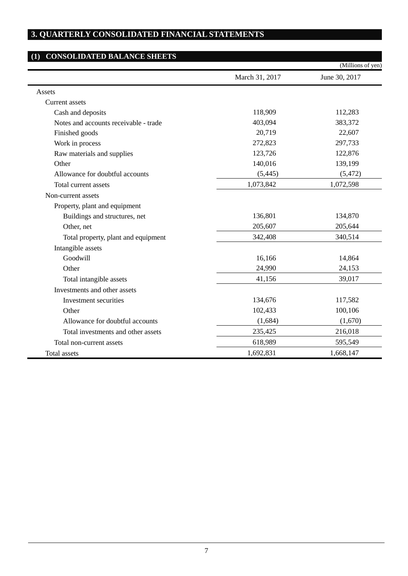# **3. QUARTERLY CONSOLIDATED FINANCIAL STATEMENTS**

# **(1) CONSOLIDATED BALANCE SHEETS** (Millions of yen) March 31, 2017 June 30, 2017 Assets Current assets Cash and deposits 118,909 112,283 Notes and accounts receivable - trade 403,094 403,094 383,372 Finished goods 20,719 22,607 Work in process 272,823 297,733 Raw materials and supplies 123,726 122,876 Other 140,016 139,199 Allowance for doubtful accounts (5,445) (5,472) Total current assets 1,073,842 1,072,598 Non-current assets Property, plant and equipment Buildings and structures, net 136,801 134,870 Other, net 205,644 Total property, plant and equipment 342,408 340,514 Intangible assets Goodwill 16,166 14,864 Other 24,990 24,153 Total intangible assets 41,156 39,017 Investments and other assets Investment securities 134,676 117,582 Other 102,433 100,106 Allowance for doubtful accounts (1,684) (1,684) (1,670) Total investments and other assets 235,425 216,018 Total non-current assets 618,989 595,549 Total assets 1,668,147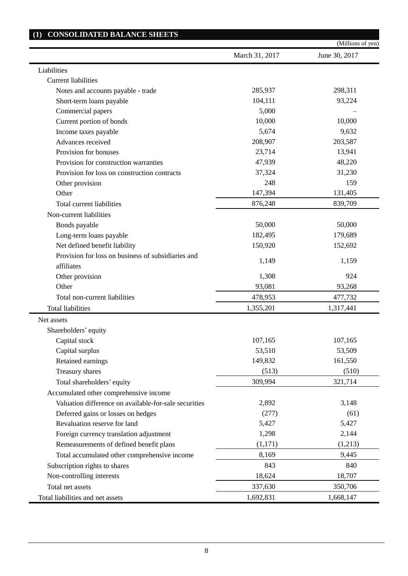|                                                                  |                | (Millions of yen) |
|------------------------------------------------------------------|----------------|-------------------|
|                                                                  | March 31, 2017 | June 30, 2017     |
| Liabilities                                                      |                |                   |
| <b>Current liabilities</b>                                       |                |                   |
| Notes and accounts payable - trade                               | 285,937        | 298,311           |
| Short-term loans payable                                         | 104,111        | 93,224            |
| Commercial papers                                                | 5,000          |                   |
| Current portion of bonds                                         | 10,000         | 10,000            |
| Income taxes payable                                             | 5,674          | 9,632             |
| Advances received                                                | 208,907        | 203,587           |
| Provision for bonuses                                            | 23,714         | 13,941            |
| Provision for construction warranties                            | 47,939         | 48,220            |
| Provision for loss on construction contracts                     | 37,324         | 31,230            |
| Other provision                                                  | 248            | 159               |
| Other                                                            | 147,394        | 131,405           |
| Total current liabilities                                        | 876,248        | 839,709           |
| Non-current liabilities                                          |                |                   |
| Bonds payable                                                    | 50,000         | 50,000            |
| Long-term loans payable                                          | 182,495        | 179,689           |
| Net defined benefit liability                                    | 150,920        | 152,692           |
| Provision for loss on business of subsidiaries and<br>affiliates | 1,149          | 1,159             |
| Other provision                                                  | 1,308          | 924               |
| Other                                                            | 93,081         | 93,268            |
| Total non-current liabilities                                    | 478,953        | 477,732           |
| <b>Total liabilities</b>                                         | 1,355,201      | 1,317,441         |
| Net assets                                                       |                |                   |
| Shareholders' equity                                             |                |                   |
| Capital stock                                                    | 107,165        | 107,165           |
| Capital surplus                                                  | 53,510         | 53,509            |
| Retained earnings                                                | 149,832        | 161,550           |
| Treasury shares                                                  | (513)          | (510)             |
| Total shareholders' equity                                       | 309,994        | 321,714           |
| Accumulated other comprehensive income                           |                |                   |
| Valuation difference on available-for-sale securities            | 2,892          | 3,148             |
| Deferred gains or losses on hedges                               | (277)          | (61)              |
| Revaluation reserve for land                                     | 5,427          | 5,427             |
| Foreign currency translation adjustment                          | 1,298          | 2,144             |
| Remeasurements of defined benefit plans                          | (1,171)        | (1,213)           |
| Total accumulated other comprehensive income                     | 8,169          | 9,445             |
| Subscription rights to shares                                    | 843            | 840               |
| Non-controlling interests                                        | 18,624         | 18,707            |
| Total net assets                                                 | 337,630        | 350,706           |
| Total liabilities and net assets                                 | 1,692,831      | 1,668,147         |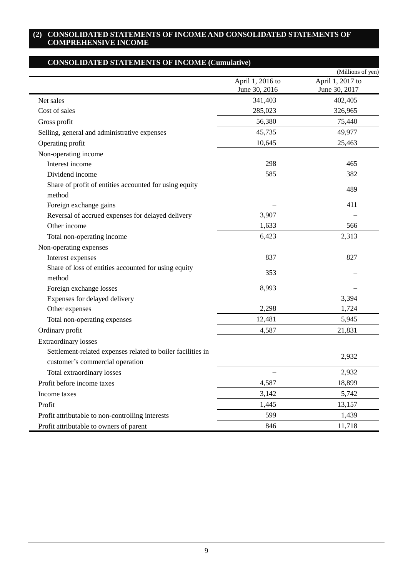### **(2) CONSOLIDATED STATEMENTS OF INCOME AND CONSOLIDATED STATEMENTS OF COMPREHENSIVE INCOME**

|                                                                  |                  | (Millions of yen) |
|------------------------------------------------------------------|------------------|-------------------|
|                                                                  | April 1, 2016 to | April 1, 2017 to  |
|                                                                  | June 30, 2016    | June 30, 2017     |
| Net sales                                                        | 341,403          | 402,405           |
| Cost of sales                                                    | 285,023          | 326,965           |
| Gross profit                                                     | 56,380           | 75,440            |
| Selling, general and administrative expenses                     | 45,735           | 49,977            |
| Operating profit                                                 | 10,645           | 25,463            |
| Non-operating income                                             |                  |                   |
| Interest income                                                  | 298              | 465               |
| Dividend income                                                  | 585              | 382               |
| Share of profit of entities accounted for using equity<br>method |                  | 489               |
| Foreign exchange gains                                           |                  | 411               |
| Reversal of accrued expenses for delayed delivery                | 3,907            |                   |
| Other income                                                     | 1,633            | 566               |
| Total non-operating income                                       | 6,423            | 2,313             |
| Non-operating expenses                                           |                  |                   |
| Interest expenses                                                | 837              | 827               |
| Share of loss of entities accounted for using equity             |                  |                   |
| method                                                           | 353              |                   |
| Foreign exchange losses                                          | 8,993            |                   |
| Expenses for delayed delivery                                    |                  | 3,394             |
| Other expenses                                                   | 2,298            | 1,724             |
| Total non-operating expenses                                     | 12,481           | 5,945             |
| Ordinary profit                                                  | 4,587            | 21,831            |
| <b>Extraordinary losses</b>                                      |                  |                   |
| Settlement-related expenses related to boiler facilities in      |                  |                   |
| customer's commercial operation                                  |                  | 2,932             |
| Total extraordinary losses                                       |                  | 2,932             |
| Profit before income taxes                                       | 4,587            | 18,899            |
| Income taxes                                                     | 3,142            | 5,742             |
| Profit                                                           | 1,445            | 13,157            |
| Profit attributable to non-controlling interests                 | 599              | 1,439             |
| Profit attributable to owners of parent                          | 846              | 11,718            |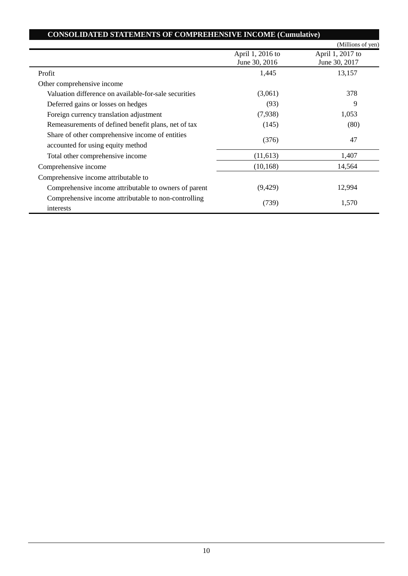| <b>CONSOLIDATED STATEMENTS OF COMPREHENSIVE INCOME (Cumulative)</b>                  |                                   | (Millions of yen)                 |
|--------------------------------------------------------------------------------------|-----------------------------------|-----------------------------------|
|                                                                                      | April 1, 2016 to<br>June 30, 2016 | April 1, 2017 to<br>June 30, 2017 |
| Profit                                                                               | 1,445                             | 13,157                            |
| Other comprehensive income                                                           |                                   |                                   |
| Valuation difference on available-for-sale securities                                | (3,061)                           | 378                               |
| Deferred gains or losses on hedges                                                   | (93)                              | 9                                 |
| Foreign currency translation adjustment                                              | (7,938)                           | 1,053                             |
| Remeasurements of defined benefit plans, net of tax                                  | (145)                             | (80)                              |
| Share of other comprehensive income of entities<br>accounted for using equity method | (376)                             | 47                                |
| Total other comprehensive income                                                     | (11,613)                          | 1,407                             |
| Comprehensive income                                                                 | (10, 168)                         | 14,564                            |
| Comprehensive income attributable to                                                 |                                   |                                   |
| Comprehensive income attributable to owners of parent                                | (9,429)                           | 12,994                            |
| Comprehensive income attributable to non-controlling<br>interests                    | (739)                             | 1,570                             |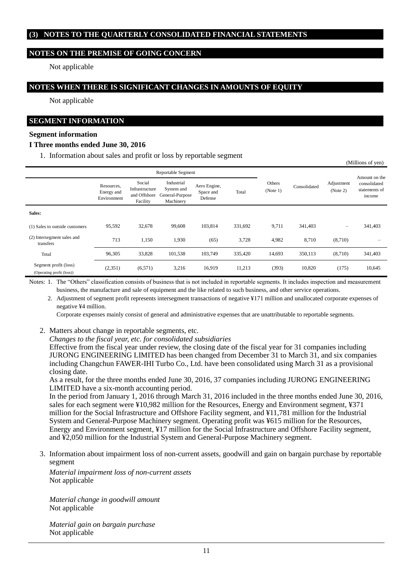# **(3) NOTES TO THE QUARTERLY CONSOLIDATED FINANCIAL STATEMENTS**

### **NOTES ON THE PREMISE OF GOING CONCERN**

Not applicable

### **NOTES WHEN THERE IS SIGNIFICANT CHANGES IN AMOUNTS OF EQUITY**

Not applicable

## **SEGMENT INFORMATION**

#### **Segment information**

#### **I Three months ended June 30, 2016**

1. Information about sales and profit or loss by reportable segment

| Reportable Segment                                 |                                         |                                                      |                                                          |                                      |         |                    |              |                        |                                                          |
|----------------------------------------------------|-----------------------------------------|------------------------------------------------------|----------------------------------------------------------|--------------------------------------|---------|--------------------|--------------|------------------------|----------------------------------------------------------|
|                                                    | Resources,<br>Energy and<br>Environment | Social<br>Infrastructure<br>and Offshore<br>Facility | Industrial<br>System and<br>General-Purpose<br>Machinery | Aero Engine,<br>Space and<br>Defense | Total   | Others<br>(Note 1) | Consolidated | Adjustment<br>(Note 2) | Amount on the<br>consolidated<br>statements of<br>income |
| Sales:                                             |                                         |                                                      |                                                          |                                      |         |                    |              |                        |                                                          |
| (1) Sales to outside customers                     | 95,592                                  | 32,678                                               | 99,608                                                   | 103,814                              | 331,692 | 9,711              | 341,403      | $\qquad \qquad -$      | 341,403                                                  |
| (2) Intersegment sales and<br>transfers            | 713                                     | 1,150                                                | 1.930                                                    | (65)                                 | 3,728   | 4,982              | 8,710        | (8,710)                | -                                                        |
| Total                                              | 96,305                                  | 33,828                                               | 101,538                                                  | 103.749                              | 335,420 | 14,693             | 350,113      | (8,710)                | 341,403                                                  |
| Segment profit (loss)<br>(Operating profit (loss)) | (2,351)                                 | (6,571)                                              | 3,216                                                    | 16,919                               | 11,213  | (393)              | 10,820       | (175)                  | 10,645                                                   |

(Millions of yen)

Notes: 1. The "Others" classification consists of business that is not included in reportable segments. It includes inspection and measurement business, the manufacture and sale of equipment and the like related to such business, and other service operations.

2. Adjustment of segment profit represents intersegment transactions of negative ¥171 million and unallocated corporate expenses of negative ¥4 million.

Corporate expenses mainly consist of general and administrative expenses that are unattributable to reportable segments.

- 2. Matters about change in reportable segments, etc.
	- *Changes to the fiscal year, etc. for consolidated subsidiaries*

Effective from the fiscal year under review, the closing date of the fiscal year for 31 companies including JURONG ENGINEERING LIMITED has been changed from December 31 to March 31, and six companies including Changchun FAWER-IHI Turbo Co., Ltd. have been consolidated using March 31 as a provisional closing date.

As a result, for the three months ended June 30, 2016, 37 companies including JURONG ENGINEERING LIMITED have a six-month accounting period.

In the period from January 1, 2016 through March 31, 2016 included in the three months ended June 30, 2016, sales for each segment were ¥10,982 million for the Resources, Energy and Environment segment, ¥371 million for the Social Infrastructure and Offshore Facility segment, and ¥11,781 million for the Industrial System and General-Purpose Machinery segment. Operating profit was ¥615 million for the Resources, Energy and Environment segment, ¥17 million for the Social Infrastructure and Offshore Facility segment, and ¥2,050 million for the Industrial System and General-Purpose Machinery segment.

3. Information about impairment loss of non-current assets, goodwill and gain on bargain purchase by reportable segment

*Material impairment loss of non-current assets* Not applicable

*Material change in goodwill amount* Not applicable

*Material gain on bargain purchase* Not applicable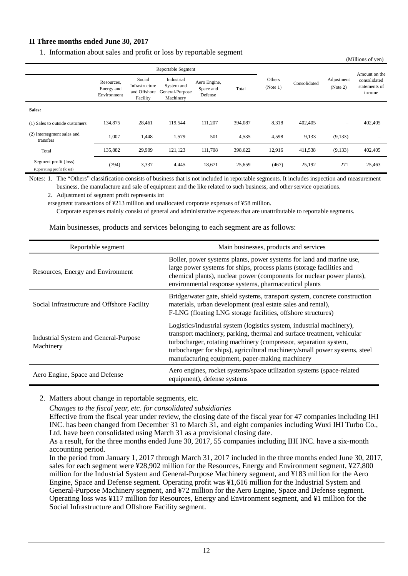# **II Three months ended June 30, 2017**

1. Information about sales and profit or loss by reportable segment

| Reportable Segment                                 |                                         |                                                      |                                                          |                                      |         |                    |              |                          | Amount on the                           |
|----------------------------------------------------|-----------------------------------------|------------------------------------------------------|----------------------------------------------------------|--------------------------------------|---------|--------------------|--------------|--------------------------|-----------------------------------------|
|                                                    | Resources,<br>Energy and<br>Environment | Social<br>Infrastructure<br>and Offshore<br>Facility | Industrial<br>System and<br>General-Purpose<br>Machinery | Aero Engine,<br>Space and<br>Defense | Total   | Others<br>(Note 1) | Consolidated | Adjustment<br>(Note 2)   | consolidated<br>statements of<br>income |
| Sales:                                             |                                         |                                                      |                                                          |                                      |         |                    |              |                          |                                         |
| (1) Sales to outside customers                     | 134,875                                 | 28,461                                               | 119,544                                                  | 111,207                              | 394,087 | 8,318              | 402,405      | $\overline{\phantom{0}}$ | 402,405                                 |
| (2) Intersegment sales and<br>transfers            | 1,007                                   | 1,448                                                | 1,579                                                    | 501                                  | 4,535   | 4,598              | 9,133        | (9,133)                  | -                                       |
| Total                                              | 135,882                                 | 29,909                                               | 121,123                                                  | 111,708                              | 398,622 | 12,916             | 411,538      | (9,133)                  | 402,405                                 |
| Segment profit (loss)<br>(Operating profit (loss)) | (794)                                   | 3,337                                                | 4,445                                                    | 18,671                               | 25,659  | (467)              | 25,192       | 271                      | 25,463                                  |

(Millions of yen)

Notes: 1. The "Others" classification consists of business that is not included in reportable segments. It includes inspection and measurement business, the manufacture and sale of equipment and the like related to such business, and other service operations.

2. Adjustment of segment profit represents int

ersegment transactions of ¥213 million and unallocated corporate expenses of ¥58 million.

Corporate expenses mainly consist of general and administrative expenses that are unattributable to reportable segments.

Main businesses, products and services belonging to each segment are as follows:

| Reportable segment                                 | Main businesses, products and services                                                                                                                                                                                                                                                                                                               |
|----------------------------------------------------|------------------------------------------------------------------------------------------------------------------------------------------------------------------------------------------------------------------------------------------------------------------------------------------------------------------------------------------------------|
| Resources, Energy and Environment                  | Boiler, power systems plants, power systems for land and marine use,<br>large power systems for ships, process plants (storage facilities and<br>chemical plants), nuclear power (components for nuclear power plants),<br>environmental response systems, pharmaceutical plants                                                                     |
| Social Infrastructure and Offshore Facility        | Bridge/water gate, shield systems, transport system, concrete construction<br>materials, urban development (real estate sales and rental),<br>F-LNG (floating LNG storage facilities, offshore structures)                                                                                                                                           |
| Industrial System and General-Purpose<br>Machinery | Logistics/industrial system (logistics system, industrial machinery),<br>transport machinery, parking, thermal and surface treatment, vehicular<br>turbocharger, rotating machinery (compressor, separation system,<br>turbocharger for ships), agricultural machinery/small power systems, steel<br>manufacturing equipment, paper-making machinery |
| Aero Engine, Space and Defense                     | Aero engines, rocket systems/space utilization systems (space-related<br>equipment), defense systems                                                                                                                                                                                                                                                 |

2. Matters about change in reportable segments, etc.

*Changes to the fiscal year, etc. for consolidated subsidiaries*

Effective from the fiscal year under review, the closing date of the fiscal year for 47 companies including IHI INC. has been changed from December 31 to March 31, and eight companies including Wuxi IHI Turbo Co., Ltd. have been consolidated using March 31 as a provisional closing date.

In the period from January 1, 2017 through March 31, 2017 included in the three months ended June 30, 2017, sales for each segment were ¥28,902 million for the Resources, Energy and Environment segment, ¥27,800 million for the Industrial System and General-Purpose Machinery segment, and ¥183 million for the Aero Engine, Space and Defense segment. Operating profit was ¥1,616 million for the Industrial System and General-Purpose Machinery segment, and ¥72 million for the Aero Engine, Space and Defense segment. Operating loss was ¥117 million for Resources, Energy and Environment segment, and ¥1 million for the Social Infrastructure and Offshore Facility segment.

As a result, for the three months ended June 30, 2017, 55 companies including IHI INC. have a six-month accounting period.